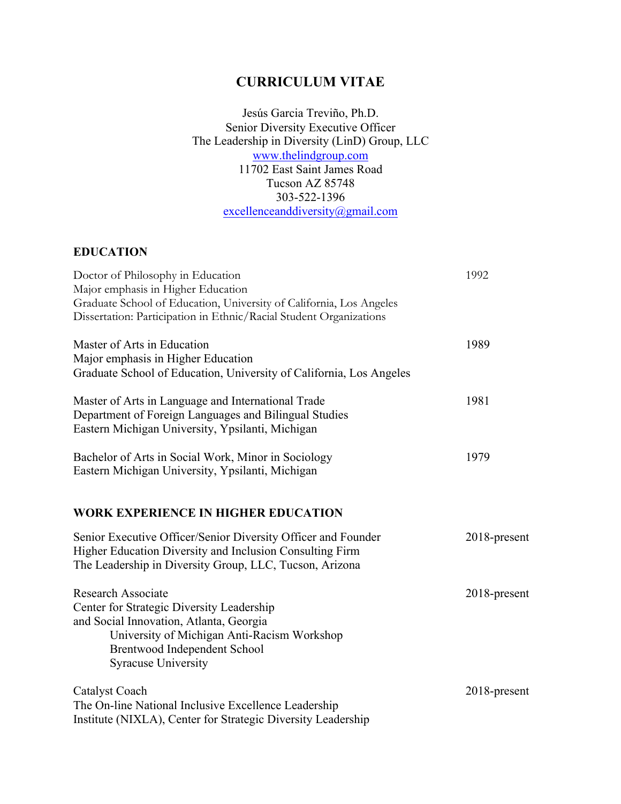# **CURRICULUM VITAE**

Jesús Garcia Treviño, Ph.D. Senior Diversity Executive Officer The Leadership in Diversity (LinD) Group, LLC www.thelindgroup.com 11702 East Saint James Road Tucson AZ 85748 303-522-1396 excellenceanddiversity@gmail.com

## **EDUCATION**

| Doctor of Philosophy in Education                                                                                                                                                    | 1992         |
|--------------------------------------------------------------------------------------------------------------------------------------------------------------------------------------|--------------|
| Major emphasis in Higher Education                                                                                                                                                   |              |
| Graduate School of Education, University of California, Los Angeles                                                                                                                  |              |
| Dissertation: Participation in Ethnic/Racial Student Organizations                                                                                                                   |              |
| Master of Arts in Education                                                                                                                                                          | 1989         |
| Major emphasis in Higher Education                                                                                                                                                   |              |
| Graduate School of Education, University of California, Los Angeles                                                                                                                  |              |
| Master of Arts in Language and International Trade<br>Department of Foreign Languages and Bilingual Studies                                                                          | 1981         |
| Eastern Michigan University, Ypsilanti, Michigan                                                                                                                                     |              |
| Bachelor of Arts in Social Work, Minor in Sociology<br>Eastern Michigan University, Ypsilanti, Michigan                                                                              | 1979         |
|                                                                                                                                                                                      |              |
| <b>WORK EXPERIENCE IN HIGHER EDUCATION</b>                                                                                                                                           |              |
| Senior Executive Officer/Senior Diversity Officer and Founder<br>Higher Education Diversity and Inclusion Consulting Firm<br>The Leadership in Diversity Group, LLC, Tucson, Arizona | 2018-present |
| <b>Research Associate</b>                                                                                                                                                            | 2018-present |
| Center for Strategic Diversity Leadership                                                                                                                                            |              |
| and Social Innovation, Atlanta, Georgia                                                                                                                                              |              |
| University of Michigan Anti-Racism Workshop                                                                                                                                          |              |
| Brentwood Independent School                                                                                                                                                         |              |
| <b>Syracuse University</b>                                                                                                                                                           |              |
| <b>Catalyst Coach</b>                                                                                                                                                                | 2018-present |
| The On-line National Inclusive Excellence Leadership                                                                                                                                 |              |
| Institute (NIXLA), Center for Strategic Diversity Leadership                                                                                                                         |              |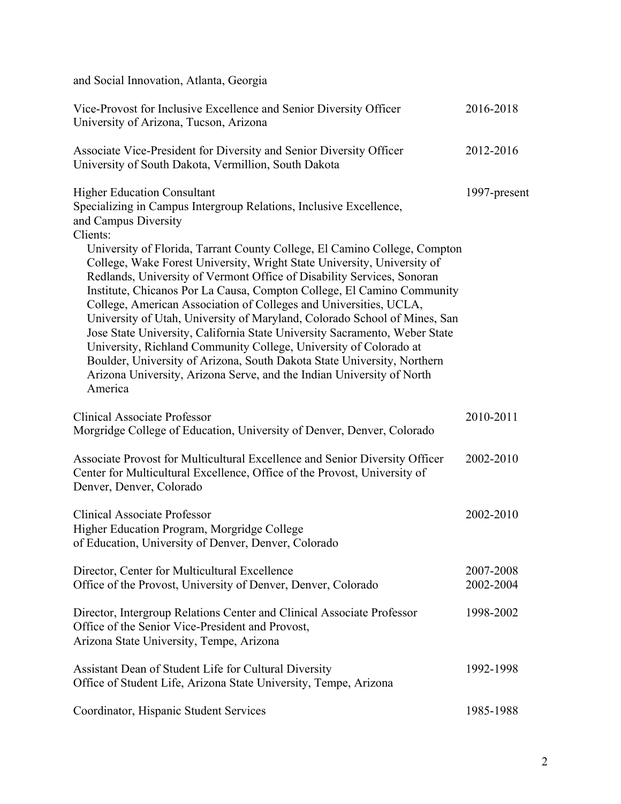and Social Innovation, Atlanta, Georgia

| Vice-Provost for Inclusive Excellence and Senior Diversity Officer<br>University of Arizona, Tucson, Arizona                                                                                                                                                                                                                                                                                                                                                                                                                                                                                                                                                                                                                                                                                                                                                                                                                 | 2016-2018              |
|------------------------------------------------------------------------------------------------------------------------------------------------------------------------------------------------------------------------------------------------------------------------------------------------------------------------------------------------------------------------------------------------------------------------------------------------------------------------------------------------------------------------------------------------------------------------------------------------------------------------------------------------------------------------------------------------------------------------------------------------------------------------------------------------------------------------------------------------------------------------------------------------------------------------------|------------------------|
| Associate Vice-President for Diversity and Senior Diversity Officer<br>University of South Dakota, Vermillion, South Dakota                                                                                                                                                                                                                                                                                                                                                                                                                                                                                                                                                                                                                                                                                                                                                                                                  | 2012-2016              |
| <b>Higher Education Consultant</b><br>Specializing in Campus Intergroup Relations, Inclusive Excellence,<br>and Campus Diversity<br>Clients:<br>University of Florida, Tarrant County College, El Camino College, Compton<br>College, Wake Forest University, Wright State University, University of<br>Redlands, University of Vermont Office of Disability Services, Sonoran<br>Institute, Chicanos Por La Causa, Compton College, El Camino Community<br>College, American Association of Colleges and Universities, UCLA,<br>University of Utah, University of Maryland, Colorado School of Mines, San<br>Jose State University, California State University Sacramento, Weber State<br>University, Richland Community College, University of Colorado at<br>Boulder, University of Arizona, South Dakota State University, Northern<br>Arizona University, Arizona Serve, and the Indian University of North<br>America | 1997-present           |
| <b>Clinical Associate Professor</b><br>Morgridge College of Education, University of Denver, Denver, Colorado                                                                                                                                                                                                                                                                                                                                                                                                                                                                                                                                                                                                                                                                                                                                                                                                                | 2010-2011              |
| Associate Provost for Multicultural Excellence and Senior Diversity Officer<br>Center for Multicultural Excellence, Office of the Provost, University of<br>Denver, Denver, Colorado                                                                                                                                                                                                                                                                                                                                                                                                                                                                                                                                                                                                                                                                                                                                         | 2002-2010              |
| <b>Clinical Associate Professor</b><br>Higher Education Program, Morgridge College<br>of Education, University of Denver, Denver, Colorado                                                                                                                                                                                                                                                                                                                                                                                                                                                                                                                                                                                                                                                                                                                                                                                   | 2002-2010              |
| Director, Center for Multicultural Excellence<br>Office of the Provost, University of Denver, Denver, Colorado                                                                                                                                                                                                                                                                                                                                                                                                                                                                                                                                                                                                                                                                                                                                                                                                               | 2007-2008<br>2002-2004 |
| Director, Intergroup Relations Center and Clinical Associate Professor<br>Office of the Senior Vice-President and Provost,<br>Arizona State University, Tempe, Arizona                                                                                                                                                                                                                                                                                                                                                                                                                                                                                                                                                                                                                                                                                                                                                       | 1998-2002              |
| Assistant Dean of Student Life for Cultural Diversity<br>Office of Student Life, Arizona State University, Tempe, Arizona                                                                                                                                                                                                                                                                                                                                                                                                                                                                                                                                                                                                                                                                                                                                                                                                    | 1992-1998              |
| Coordinator, Hispanic Student Services                                                                                                                                                                                                                                                                                                                                                                                                                                                                                                                                                                                                                                                                                                                                                                                                                                                                                       | 1985-1988              |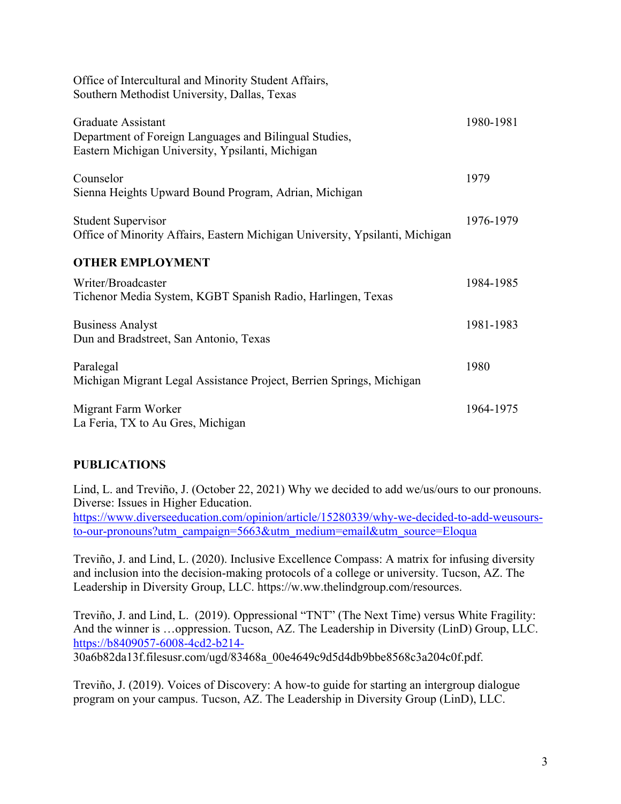| Office of Intercultural and Minority Student Affairs,<br>Southern Methodist University, Dallas, Texas                            |           |
|----------------------------------------------------------------------------------------------------------------------------------|-----------|
| Graduate Assistant<br>Department of Foreign Languages and Bilingual Studies,<br>Eastern Michigan University, Ypsilanti, Michigan | 1980-1981 |
| Counselor<br>Sienna Heights Upward Bound Program, Adrian, Michigan                                                               | 1979      |
| <b>Student Supervisor</b><br>Office of Minority Affairs, Eastern Michigan University, Ypsilanti, Michigan                        | 1976-1979 |
| <b>OTHER EMPLOYMENT</b>                                                                                                          |           |
| Writer/Broadcaster<br>Tichenor Media System, KGBT Spanish Radio, Harlingen, Texas                                                | 1984-1985 |
| <b>Business Analyst</b><br>Dun and Bradstreet, San Antonio, Texas                                                                | 1981-1983 |
| Paralegal<br>Michigan Migrant Legal Assistance Project, Berrien Springs, Michigan                                                | 1980      |
| Migrant Farm Worker<br>La Feria, TX to Au Gres, Michigan                                                                         | 1964-1975 |

## **PUBLICATIONS**

Lind, L. and Treviño, J. (October 22, 2021) Why we decided to add we/us/ours to our pronouns. Diverse: Issues in Higher Education.

https://www.diverseeducation.com/opinion/article/15280339/why-we-decided-to-add-weusoursto-our-pronouns?utm\_campaign=5663&utm\_medium=email&utm\_source=Eloqua

Treviño, J. and Lind, L. (2020). Inclusive Excellence Compass: A matrix for infusing diversity and inclusion into the decision-making protocols of a college or university. Tucson, AZ. The Leadership in Diversity Group, LLC. https://w.ww.thelindgroup.com/resources.

Treviño, J. and Lind, L. (2019). Oppressional "TNT" (The Next Time) versus White Fragility: And the winner is …oppression. Tucson, AZ. The Leadership in Diversity (LinD) Group, LLC. https://b8409057-6008-4cd2-b214- 30a6b82da13f.filesusr.com/ugd/83468a\_00e4649c9d5d4db9bbe8568c3a204c0f.pdf.

Treviño, J. (2019). Voices of Discovery: A how-to guide for starting an intergroup dialogue program on your campus. Tucson, AZ. The Leadership in Diversity Group (LinD), LLC.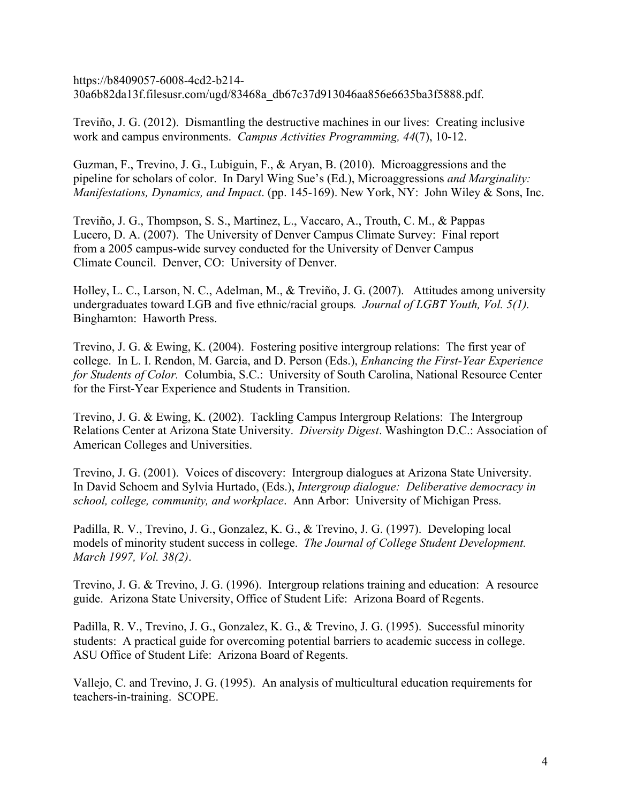https://b8409057-6008-4cd2-b214- 30a6b82da13f.filesusr.com/ugd/83468a\_db67c37d913046aa856e6635ba3f5888.pdf.

Treviño, J. G. (2012). Dismantling the destructive machines in our lives: Creating inclusive work and campus environments. *Campus Activities Programming, 44*(7), 10-12.

Guzman, F., Trevino, J. G., Lubiguin, F., & Aryan, B. (2010). Microaggressions and the pipeline for scholars of color. In Daryl Wing Sue's (Ed.), Microaggressions *and Marginality: Manifestations, Dynamics, and Impact*. (pp. 145-169). New York, NY: John Wiley & Sons, Inc.

Treviño, J. G., Thompson, S. S., Martinez, L., Vaccaro, A., Trouth, C. M., & Pappas Lucero, D. A. (2007). The University of Denver Campus Climate Survey: Final report from a 2005 campus-wide survey conducted for the University of Denver Campus Climate Council. Denver, CO: University of Denver.

Holley, L. C., Larson, N. C., Adelman, M., & Treviño, J. G. (2007). Attitudes among university undergraduates toward LGB and five ethnic/racial groups*. Journal of LGBT Youth, Vol. 5(1).* Binghamton: Haworth Press.

Trevino, J. G. & Ewing, K. (2004). Fostering positive intergroup relations: The first year of college. In L. I. Rendon, M. Garcia, and D. Person (Eds.), *Enhancing the First-Year Experience for Students of Color.* Columbia, S.C.: University of South Carolina, National Resource Center for the First-Year Experience and Students in Transition.

Trevino, J. G. & Ewing, K. (2002). Tackling Campus Intergroup Relations: The Intergroup Relations Center at Arizona State University. *Diversity Digest*. Washington D.C.: Association of American Colleges and Universities.

Trevino, J. G. (2001). Voices of discovery: Intergroup dialogues at Arizona State University. In David Schoem and Sylvia Hurtado, (Eds.), *Intergroup dialogue: Deliberative democracy in school, college, community, and workplace*. Ann Arbor: University of Michigan Press.

Padilla, R. V., Trevino, J. G., Gonzalez, K. G., & Trevino, J. G. (1997). Developing local models of minority student success in college. *The Journal of College Student Development. March 1997, Vol. 38(2)*.

Trevino, J. G. & Trevino, J. G. (1996). Intergroup relations training and education: A resource guide. Arizona State University, Office of Student Life: Arizona Board of Regents.

Padilla, R. V., Trevino, J. G., Gonzalez, K. G., & Trevino, J. G. (1995). Successful minority students: A practical guide for overcoming potential barriers to academic success in college. ASU Office of Student Life: Arizona Board of Regents.

Vallejo, C. and Trevino, J. G. (1995). An analysis of multicultural education requirements for teachers-in-training. SCOPE.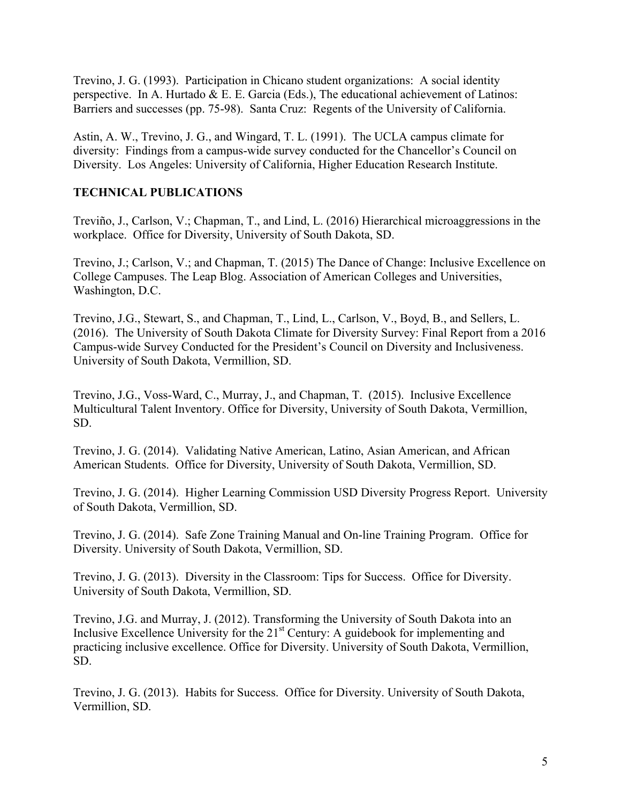Trevino, J. G. (1993). Participation in Chicano student organizations: A social identity perspective. In A. Hurtado & E. E. Garcia (Eds.), The educational achievement of Latinos: Barriers and successes (pp. 75-98). Santa Cruz: Regents of the University of California.

Astin, A. W., Trevino, J. G., and Wingard, T. L. (1991). The UCLA campus climate for diversity: Findings from a campus-wide survey conducted for the Chancellor's Council on Diversity. Los Angeles: University of California, Higher Education Research Institute.

## **TECHNICAL PUBLICATIONS**

Treviño, J., Carlson, V.; Chapman, T., and Lind, L. (2016) Hierarchical microaggressions in the workplace. Office for Diversity, University of South Dakota, SD.

Trevino, J.; Carlson, V.; and Chapman, T. (2015) The Dance of Change: Inclusive Excellence on College Campuses. The Leap Blog. Association of American Colleges and Universities, Washington, D.C.

Trevino, J.G., Stewart, S., and Chapman, T., Lind, L., Carlson, V., Boyd, B., and Sellers, L. (2016). The University of South Dakota Climate for Diversity Survey: Final Report from a 2016 Campus-wide Survey Conducted for the President's Council on Diversity and Inclusiveness. University of South Dakota, Vermillion, SD.

Trevino, J.G., Voss-Ward, C., Murray, J., and Chapman, T. (2015). Inclusive Excellence Multicultural Talent Inventory. Office for Diversity, University of South Dakota, Vermillion, SD.

Trevino, J. G. (2014). Validating Native American, Latino, Asian American, and African American Students. Office for Diversity, University of South Dakota, Vermillion, SD.

Trevino, J. G. (2014). Higher Learning Commission USD Diversity Progress Report. University of South Dakota, Vermillion, SD.

Trevino, J. G. (2014). Safe Zone Training Manual and On-line Training Program. Office for Diversity. University of South Dakota, Vermillion, SD.

Trevino, J. G. (2013). Diversity in the Classroom: Tips for Success. Office for Diversity. University of South Dakota, Vermillion, SD.

Trevino, J.G. and Murray, J. (2012). Transforming the University of South Dakota into an Inclusive Excellence University for the  $21<sup>st</sup>$  Century: A guidebook for implementing and practicing inclusive excellence. Office for Diversity. University of South Dakota, Vermillion, SD.

Trevino, J. G. (2013). Habits for Success. Office for Diversity. University of South Dakota, Vermillion, SD.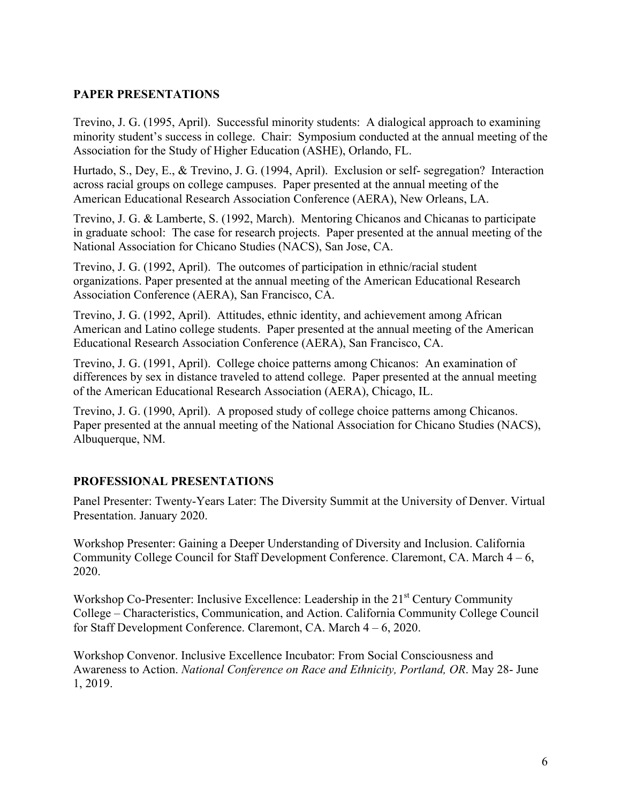## **PAPER PRESENTATIONS**

Trevino, J. G. (1995, April). Successful minority students: A dialogical approach to examining minority student's success in college. Chair: Symposium conducted at the annual meeting of the Association for the Study of Higher Education (ASHE), Orlando, FL.

Hurtado, S., Dey, E., & Trevino, J. G. (1994, April). Exclusion or self- segregation? Interaction across racial groups on college campuses. Paper presented at the annual meeting of the American Educational Research Association Conference (AERA), New Orleans, LA.

Trevino, J. G. & Lamberte, S. (1992, March). Mentoring Chicanos and Chicanas to participate in graduate school: The case for research projects. Paper presented at the annual meeting of the National Association for Chicano Studies (NACS), San Jose, CA.

Trevino, J. G. (1992, April). The outcomes of participation in ethnic/racial student organizations. Paper presented at the annual meeting of the American Educational Research Association Conference (AERA), San Francisco, CA.

Trevino, J. G. (1992, April). Attitudes, ethnic identity, and achievement among African American and Latino college students. Paper presented at the annual meeting of the American Educational Research Association Conference (AERA), San Francisco, CA.

Trevino, J. G. (1991, April). College choice patterns among Chicanos: An examination of differences by sex in distance traveled to attend college. Paper presented at the annual meeting of the American Educational Research Association (AERA), Chicago, IL.

Trevino, J. G. (1990, April). A proposed study of college choice patterns among Chicanos. Paper presented at the annual meeting of the National Association for Chicano Studies (NACS), Albuquerque, NM.

## **PROFESSIONAL PRESENTATIONS**

Panel Presenter: Twenty-Years Later: The Diversity Summit at the University of Denver. Virtual Presentation. January 2020.

Workshop Presenter: Gaining a Deeper Understanding of Diversity and Inclusion. California Community College Council for Staff Development Conference. Claremont, CA. March 4 – 6, 2020.

Workshop Co-Presenter: Inclusive Excellence: Leadership in the 21<sup>st</sup> Century Community College – Characteristics, Communication, and Action. California Community College Council for Staff Development Conference. Claremont, CA. March 4 – 6, 2020.

Workshop Convenor. Inclusive Excellence Incubator: From Social Consciousness and Awareness to Action. *National Conference on Race and Ethnicity, Portland, OR*. May 28- June 1, 2019.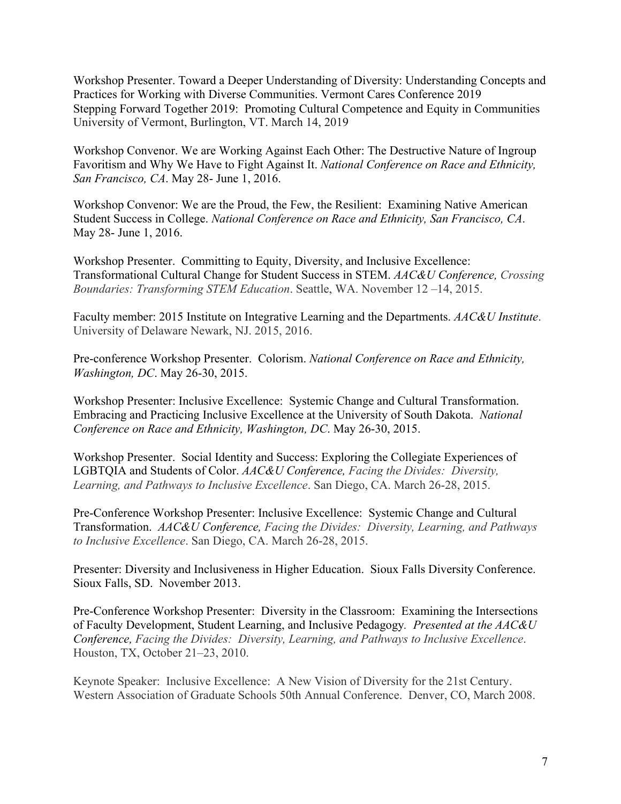Workshop Presenter. Toward a Deeper Understanding of Diversity: Understanding Concepts and Practices for Working with Diverse Communities. Vermont Cares Conference 2019 Stepping Forward Together 2019: Promoting Cultural Competence and Equity in Communities University of Vermont, Burlington, VT. March 14, 2019

Workshop Convenor. We are Working Against Each Other: The Destructive Nature of Ingroup Favoritism and Why We Have to Fight Against It. *National Conference on Race and Ethnicity, San Francisco, CA*. May 28- June 1, 2016.

Workshop Convenor: We are the Proud, the Few, the Resilient: Examining Native American Student Success in College. *National Conference on Race and Ethnicity, San Francisco, CA*. May 28- June 1, 2016.

Workshop Presenter.Committing to Equity, Diversity, and Inclusive Excellence: Transformational Cultural Change for Student Success in STEM. *AAC&U Conference, Crossing Boundaries: Transforming STEM Education*. Seattle, WA. November 12 –14, 2015.

Faculty member: 2015 Institute on Integrative Learning and the Departments. *AAC&U Institute*. University of Delaware Newark, NJ. 2015, 2016.

Pre-conference Workshop Presenter. Colorism. *National Conference on Race and Ethnicity, Washington, DC*. May 26-30, 2015.

Workshop Presenter: Inclusive Excellence: Systemic Change and Cultural Transformation. Embracing and Practicing Inclusive Excellence at the University of South Dakota. *National Conference on Race and Ethnicity, Washington, DC*. May 26-30, 2015.

Workshop Presenter.Social Identity and Success: Exploring the Collegiate Experiences of LGBTQIA and Students of Color. *AAC&U Conference, Facing the Divides: Diversity, Learning, and Pathways to Inclusive Excellence*. San Diego, CA. March 26-28, 2015.

Pre-Conference Workshop Presenter: Inclusive Excellence: Systemic Change and Cultural Transformation. *AAC&U Conference, Facing the Divides: Diversity, Learning, and Pathways to Inclusive Excellence*. San Diego, CA. March 26-28, 2015.

Presenter: Diversity and Inclusiveness in Higher Education. Sioux Falls Diversity Conference. Sioux Falls, SD. November 2013.

Pre-Conference Workshop Presenter:Diversity in the Classroom: Examining the Intersections of Faculty Development, Student Learning, and Inclusive Pedagogy*. Presented at the AAC&U Conference, Facing the Divides: Diversity, Learning, and Pathways to Inclusive Excellence*. Houston, TX, October 21–23, 2010.

Keynote Speaker: Inclusive Excellence: A New Vision of Diversity for the 21st Century. Western Association of Graduate Schools 50th Annual Conference. Denver, CO, March 2008.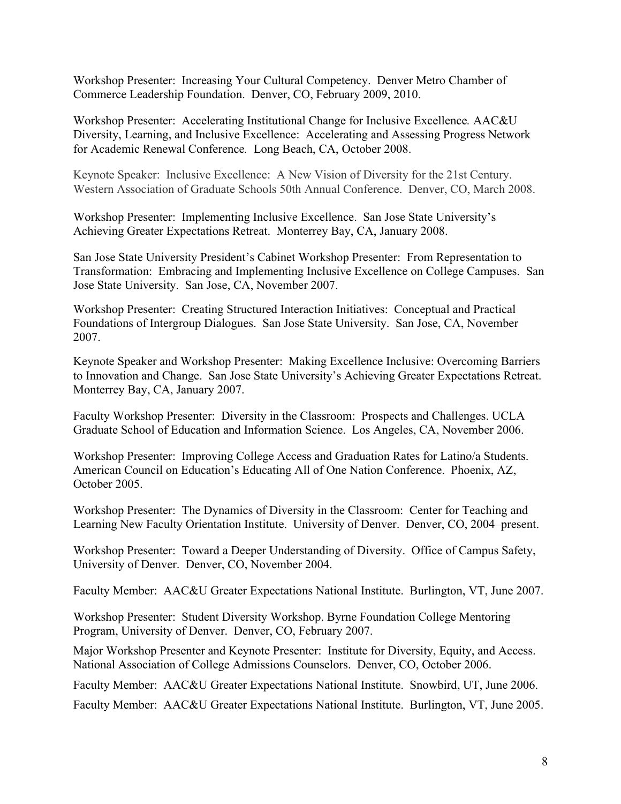Workshop Presenter: Increasing Your Cultural Competency. Denver Metro Chamber of Commerce Leadership Foundation. Denver, CO, February 2009, 2010.

Workshop Presenter: Accelerating Institutional Change for Inclusive Excellence*.* AAC&U Diversity, Learning, and Inclusive Excellence: Accelerating and Assessing Progress Network for Academic Renewal Conference*.* Long Beach, CA, October 2008.

Keynote Speaker: Inclusive Excellence: A New Vision of Diversity for the 21st Century. Western Association of Graduate Schools 50th Annual Conference. Denver, CO, March 2008.

Workshop Presenter: Implementing Inclusive Excellence. San Jose State University's Achieving Greater Expectations Retreat. Monterrey Bay, CA, January 2008.

San Jose State University President's Cabinet Workshop Presenter: From Representation to Transformation: Embracing and Implementing Inclusive Excellence on College Campuses. San Jose State University. San Jose, CA, November 2007.

Workshop Presenter: Creating Structured Interaction Initiatives: Conceptual and Practical Foundations of Intergroup Dialogues. San Jose State University. San Jose, CA, November 2007.

Keynote Speaker and Workshop Presenter: Making Excellence Inclusive: Overcoming Barriers to Innovation and Change. San Jose State University's Achieving Greater Expectations Retreat. Monterrey Bay, CA, January 2007.

Faculty Workshop Presenter: Diversity in the Classroom: Prospects and Challenges. UCLA Graduate School of Education and Information Science. Los Angeles, CA, November 2006.

Workshop Presenter: Improving College Access and Graduation Rates for Latino/a Students. American Council on Education's Educating All of One Nation Conference. Phoenix, AZ, October 2005.

Workshop Presenter: The Dynamics of Diversity in the Classroom: Center for Teaching and Learning New Faculty Orientation Institute. University of Denver. Denver, CO, 2004–present.

Workshop Presenter: Toward a Deeper Understanding of Diversity. Office of Campus Safety, University of Denver. Denver, CO, November 2004.

Faculty Member: AAC&U Greater Expectations National Institute. Burlington, VT, June 2007.

Workshop Presenter: Student Diversity Workshop. Byrne Foundation College Mentoring Program, University of Denver. Denver, CO, February 2007.

Major Workshop Presenter and Keynote Presenter: Institute for Diversity, Equity, and Access. National Association of College Admissions Counselors. Denver, CO, October 2006.

Faculty Member: AAC&U Greater Expectations National Institute. Snowbird, UT, June 2006.

Faculty Member: AAC&U Greater Expectations National Institute. Burlington, VT, June 2005.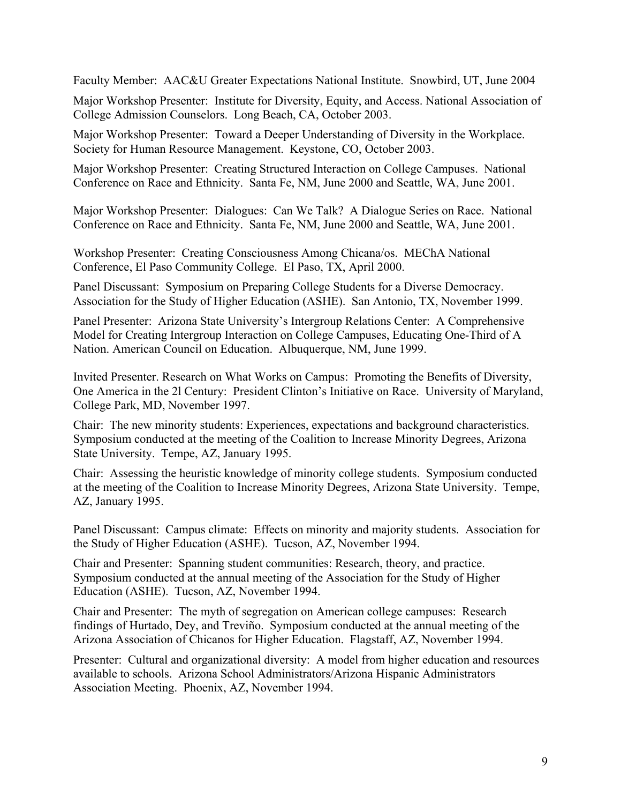Faculty Member: AAC&U Greater Expectations National Institute. Snowbird, UT, June 2004

Major Workshop Presenter: Institute for Diversity, Equity, and Access. National Association of College Admission Counselors. Long Beach, CA, October 2003.

Major Workshop Presenter: Toward a Deeper Understanding of Diversity in the Workplace. Society for Human Resource Management. Keystone, CO, October 2003.

Major Workshop Presenter: Creating Structured Interaction on College Campuses. National Conference on Race and Ethnicity. Santa Fe, NM, June 2000 and Seattle, WA, June 2001.

Major Workshop Presenter: Dialogues: Can We Talk? A Dialogue Series on Race. National Conference on Race and Ethnicity. Santa Fe, NM, June 2000 and Seattle, WA, June 2001.

Workshop Presenter: Creating Consciousness Among Chicana/os. MEChA National Conference, El Paso Community College. El Paso, TX, April 2000.

Panel Discussant: Symposium on Preparing College Students for a Diverse Democracy. Association for the Study of Higher Education (ASHE). San Antonio, TX, November 1999.

Panel Presenter: Arizona State University's Intergroup Relations Center: A Comprehensive Model for Creating Intergroup Interaction on College Campuses, Educating One-Third of A Nation. American Council on Education. Albuquerque, NM, June 1999.

Invited Presenter. Research on What Works on Campus: Promoting the Benefits of Diversity, One America in the 2l Century: President Clinton's Initiative on Race. University of Maryland, College Park, MD, November 1997.

Chair: The new minority students: Experiences, expectations and background characteristics. Symposium conducted at the meeting of the Coalition to Increase Minority Degrees, Arizona State University. Tempe, AZ, January 1995.

Chair: Assessing the heuristic knowledge of minority college students. Symposium conducted at the meeting of the Coalition to Increase Minority Degrees, Arizona State University. Tempe, AZ, January 1995.

Panel Discussant: Campus climate: Effects on minority and majority students. Association for the Study of Higher Education (ASHE). Tucson, AZ, November 1994.

Chair and Presenter: Spanning student communities: Research, theory, and practice. Symposium conducted at the annual meeting of the Association for the Study of Higher Education (ASHE). Tucson, AZ, November 1994.

Chair and Presenter: The myth of segregation on American college campuses: Research findings of Hurtado, Dey, and Treviño. Symposium conducted at the annual meeting of the Arizona Association of Chicanos for Higher Education. Flagstaff, AZ, November 1994.

Presenter: Cultural and organizational diversity: A model from higher education and resources available to schools. Arizona School Administrators/Arizona Hispanic Administrators Association Meeting. Phoenix, AZ, November 1994.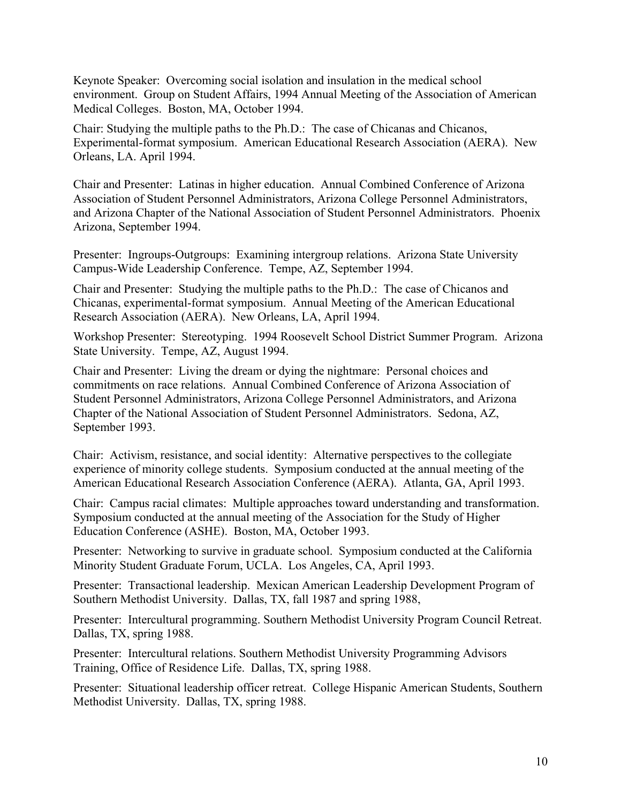Keynote Speaker: Overcoming social isolation and insulation in the medical school environment. Group on Student Affairs, 1994 Annual Meeting of the Association of American Medical Colleges. Boston, MA, October 1994.

Chair: Studying the multiple paths to the Ph.D.: The case of Chicanas and Chicanos, Experimental-format symposium. American Educational Research Association (AERA). New Orleans, LA. April 1994.

Chair and Presenter: Latinas in higher education. Annual Combined Conference of Arizona Association of Student Personnel Administrators, Arizona College Personnel Administrators, and Arizona Chapter of the National Association of Student Personnel Administrators. Phoenix Arizona, September 1994.

Presenter: Ingroups-Outgroups: Examining intergroup relations. Arizona State University Campus-Wide Leadership Conference. Tempe, AZ, September 1994.

Chair and Presenter: Studying the multiple paths to the Ph.D.: The case of Chicanos and Chicanas, experimental-format symposium. Annual Meeting of the American Educational Research Association (AERA). New Orleans, LA, April 1994.

Workshop Presenter: Stereotyping. 1994 Roosevelt School District Summer Program. Arizona State University. Tempe, AZ, August 1994.

Chair and Presenter: Living the dream or dying the nightmare: Personal choices and commitments on race relations. Annual Combined Conference of Arizona Association of Student Personnel Administrators, Arizona College Personnel Administrators, and Arizona Chapter of the National Association of Student Personnel Administrators. Sedona, AZ, September 1993.

Chair: Activism, resistance, and social identity: Alternative perspectives to the collegiate experience of minority college students. Symposium conducted at the annual meeting of the American Educational Research Association Conference (AERA). Atlanta, GA, April 1993.

Chair: Campus racial climates: Multiple approaches toward understanding and transformation. Symposium conducted at the annual meeting of the Association for the Study of Higher Education Conference (ASHE). Boston, MA, October 1993.

Presenter: Networking to survive in graduate school. Symposium conducted at the California Minority Student Graduate Forum, UCLA. Los Angeles, CA, April 1993.

Presenter: Transactional leadership. Mexican American Leadership Development Program of Southern Methodist University. Dallas, TX, fall 1987 and spring 1988,

Presenter: Intercultural programming. Southern Methodist University Program Council Retreat. Dallas, TX, spring 1988.

Presenter: Intercultural relations. Southern Methodist University Programming Advisors Training, Office of Residence Life. Dallas, TX, spring 1988.

Presenter: Situational leadership officer retreat. College Hispanic American Students, Southern Methodist University. Dallas, TX, spring 1988.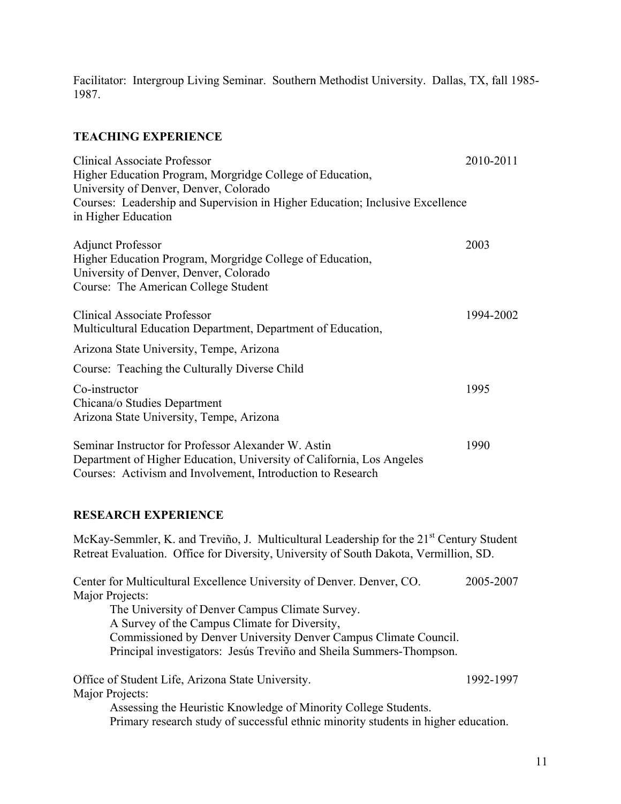Facilitator: Intergroup Living Seminar. Southern Methodist University. Dallas, TX, fall 1985- 1987.

## **TEACHING EXPERIENCE**

| <b>Clinical Associate Professor</b><br>Higher Education Program, Morgridge College of Education,<br>University of Denver, Denver, Colorado<br>Courses: Leadership and Supervision in Higher Education; Inclusive Excellence<br>in Higher Education | 2010-2011 |  |
|----------------------------------------------------------------------------------------------------------------------------------------------------------------------------------------------------------------------------------------------------|-----------|--|
| <b>Adjunct Professor</b><br>Higher Education Program, Morgridge College of Education,<br>University of Denver, Denver, Colorado<br>Course: The American College Student                                                                            | 2003      |  |
| <b>Clinical Associate Professor</b><br>Multicultural Education Department, Department of Education,                                                                                                                                                | 1994-2002 |  |
| Arizona State University, Tempe, Arizona                                                                                                                                                                                                           |           |  |
| Course: Teaching the Culturally Diverse Child                                                                                                                                                                                                      |           |  |
| Co-instructor<br>Chicana/o Studies Department<br>Arizona State University, Tempe, Arizona                                                                                                                                                          | 1995      |  |
| Seminar Instructor for Professor Alexander W. Astin<br>Department of Higher Education, University of California, Los Angeles<br>Courses: Activism and Involvement, Introduction to Research                                                        | 1990      |  |
| <b>RESEARCH EXPERIENCE</b>                                                                                                                                                                                                                         |           |  |
| McKay-Semmler, K. and Treviño, J. Multicultural Leadership for the 21 <sup>st</sup> Century Student<br>Retreat Evaluation. Office for Diversity, University of South Dakota, Vermillion, SD.                                                       |           |  |

Center for Multicultural Excellence University of Denver. Denver, CO. 2005-2007 Major Projects: The University of Denver Campus Climate Survey. A Survey of the Campus Climate for Diversity, Commissioned by Denver University Denver Campus Climate Council. Principal investigators: Jesús Treviño and Sheila Summers-Thompson. Office of Student Life, Arizona State University. 1992-1997 Major Projects:

Assessing the Heuristic Knowledge of Minority College Students. Primary research study of successful ethnic minority students in higher education.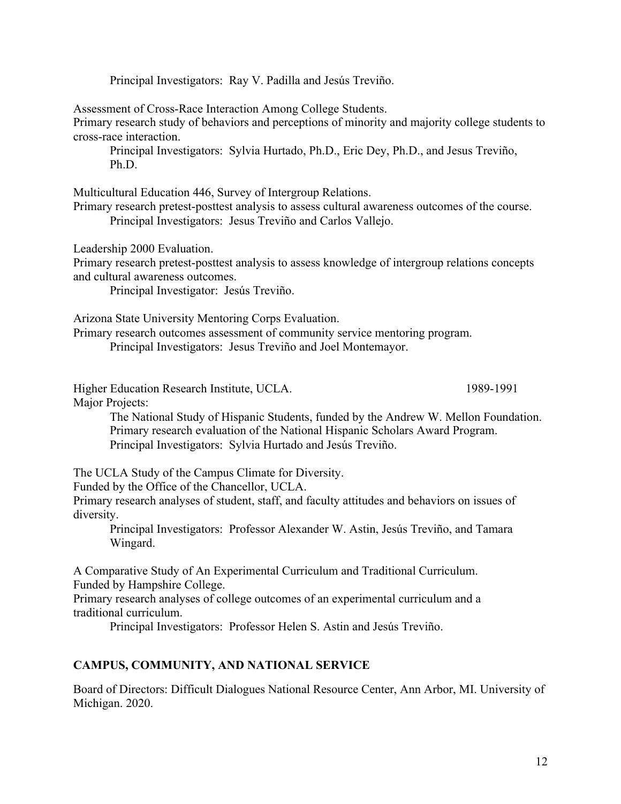Principal Investigators: Ray V. Padilla and Jesús Treviño.

Assessment of Cross-Race Interaction Among College Students.

Primary research study of behaviors and perceptions of minority and majority college students to cross-race interaction.

Principal Investigators: Sylvia Hurtado, Ph.D., Eric Dey, Ph.D., and Jesus Treviño, Ph.D.

Multicultural Education 446, Survey of Intergroup Relations.

Primary research pretest-posttest analysis to assess cultural awareness outcomes of the course. Principal Investigators: Jesus Treviño and Carlos Vallejo.

Leadership 2000 Evaluation.

Primary research pretest-posttest analysis to assess knowledge of intergroup relations concepts and cultural awareness outcomes.

Principal Investigator: Jesús Treviño.

Arizona State University Mentoring Corps Evaluation.

Primary research outcomes assessment of community service mentoring program. Principal Investigators: Jesus Treviño and Joel Montemayor.

Higher Education Research Institute, UCLA. 1989-1991

Major Projects:

The National Study of Hispanic Students, funded by the Andrew W. Mellon Foundation. Primary research evaluation of the National Hispanic Scholars Award Program. Principal Investigators: Sylvia Hurtado and Jesús Treviño.

The UCLA Study of the Campus Climate for Diversity.

Funded by the Office of the Chancellor, UCLA.

Primary research analyses of student, staff, and faculty attitudes and behaviors on issues of diversity.

Principal Investigators: Professor Alexander W. Astin, Jesús Treviño, and Tamara Wingard.

A Comparative Study of An Experimental Curriculum and Traditional Curriculum. Funded by Hampshire College.

Primary research analyses of college outcomes of an experimental curriculum and a traditional curriculum.

Principal Investigators: Professor Helen S. Astin and Jesús Treviño.

#### **CAMPUS, COMMUNITY, AND NATIONAL SERVICE**

Board of Directors: Difficult Dialogues National Resource Center, Ann Arbor, MI. University of Michigan. 2020.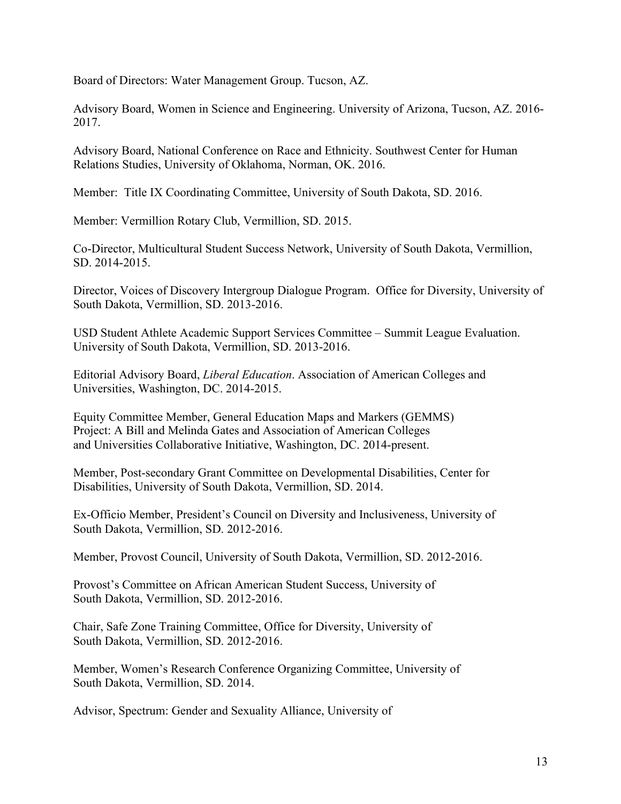Board of Directors: Water Management Group. Tucson, AZ.

Advisory Board, Women in Science and Engineering. University of Arizona, Tucson, AZ. 2016- 2017.

Advisory Board, National Conference on Race and Ethnicity. Southwest Center for Human Relations Studies, University of Oklahoma, Norman, OK. 2016.

Member: Title IX Coordinating Committee, University of South Dakota, SD. 2016.

Member: Vermillion Rotary Club, Vermillion, SD. 2015.

Co-Director, Multicultural Student Success Network, University of South Dakota, Vermillion, SD. 2014-2015.

Director, Voices of Discovery Intergroup Dialogue Program. Office for Diversity, University of South Dakota, Vermillion, SD. 2013-2016.

USD Student Athlete Academic Support Services Committee – Summit League Evaluation. University of South Dakota, Vermillion, SD. 2013-2016.

Editorial Advisory Board, *Liberal Education*. Association of American Colleges and Universities, Washington, DC. 2014-2015.

Equity Committee Member, General Education Maps and Markers (GEMMS) Project: A Bill and Melinda Gates and Association of American Colleges and Universities Collaborative Initiative, Washington, DC. 2014-present.

Member, Post-secondary Grant Committee on Developmental Disabilities, Center for Disabilities, University of South Dakota, Vermillion, SD. 2014.

Ex-Officio Member, President's Council on Diversity and Inclusiveness, University of South Dakota, Vermillion, SD. 2012-2016.

Member, Provost Council, University of South Dakota, Vermillion, SD. 2012-2016.

Provost's Committee on African American Student Success, University of South Dakota, Vermillion, SD. 2012-2016.

Chair, Safe Zone Training Committee, Office for Diversity, University of South Dakota, Vermillion, SD. 2012-2016.

Member, Women's Research Conference Organizing Committee, University of South Dakota, Vermillion, SD. 2014.

Advisor, Spectrum: Gender and Sexuality Alliance, University of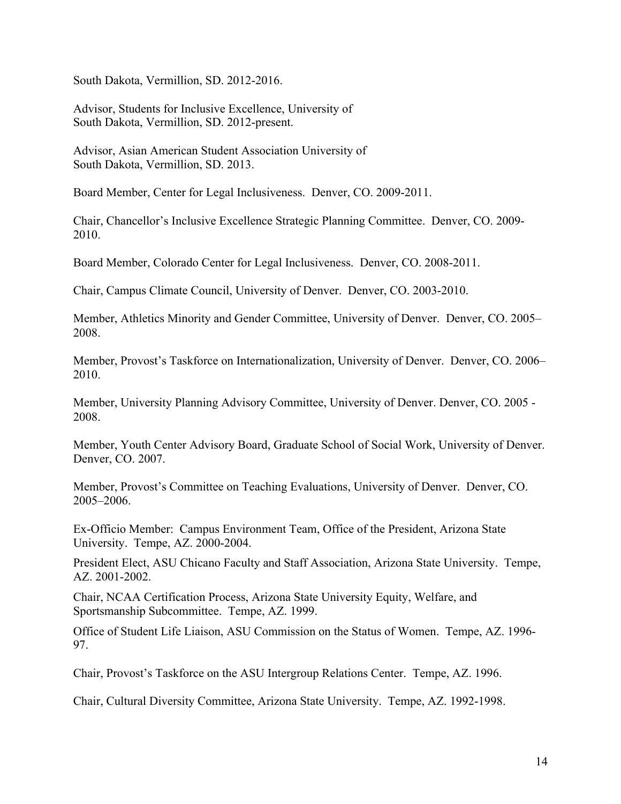South Dakota, Vermillion, SD. 2012-2016.

Advisor, Students for Inclusive Excellence, University of South Dakota, Vermillion, SD. 2012-present.

Advisor, Asian American Student Association University of South Dakota, Vermillion, SD. 2013.

Board Member, Center for Legal Inclusiveness. Denver, CO. 2009-2011.

Chair, Chancellor's Inclusive Excellence Strategic Planning Committee. Denver, CO. 2009- 2010.

Board Member, Colorado Center for Legal Inclusiveness. Denver, CO. 2008-2011.

Chair, Campus Climate Council, University of Denver. Denver, CO. 2003-2010.

Member, Athletics Minority and Gender Committee, University of Denver. Denver, CO. 2005– 2008.

Member, Provost's Taskforce on Internationalization, University of Denver. Denver, CO. 2006– 2010.

Member, University Planning Advisory Committee, University of Denver. Denver, CO. 2005 - 2008.

Member, Youth Center Advisory Board, Graduate School of Social Work, University of Denver. Denver, CO. 2007.

Member, Provost's Committee on Teaching Evaluations, University of Denver. Denver, CO. 2005–2006.

Ex-Officio Member: Campus Environment Team, Office of the President, Arizona State University. Tempe, AZ. 2000-2004.

President Elect, ASU Chicano Faculty and Staff Association, Arizona State University. Tempe, AZ. 2001-2002.

Chair, NCAA Certification Process, Arizona State University Equity, Welfare, and Sportsmanship Subcommittee. Tempe, AZ. 1999.

Office of Student Life Liaison, ASU Commission on the Status of Women. Tempe, AZ. 1996- 97.

Chair, Provost's Taskforce on the ASU Intergroup Relations Center. Tempe, AZ. 1996.

Chair, Cultural Diversity Committee, Arizona State University. Tempe, AZ. 1992-1998.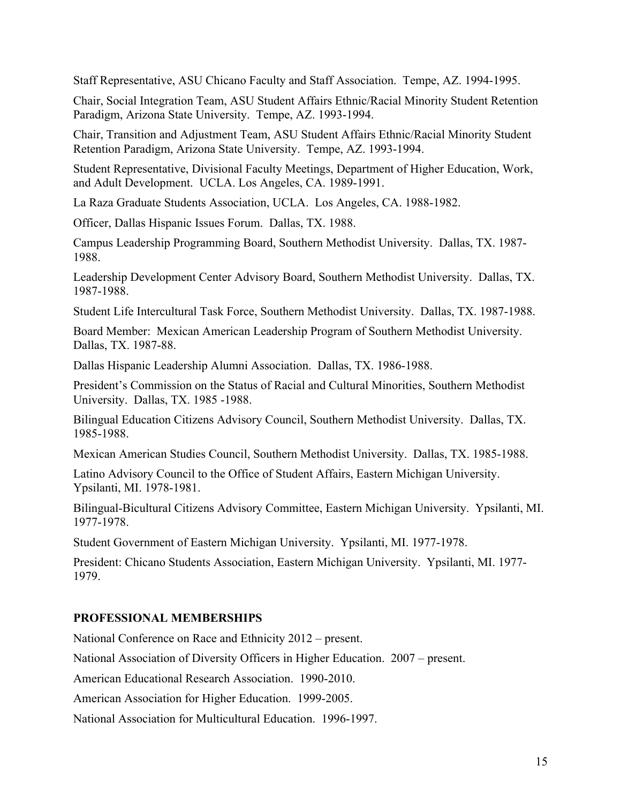Staff Representative, ASU Chicano Faculty and Staff Association. Tempe, AZ. 1994-1995.

Chair, Social Integration Team, ASU Student Affairs Ethnic/Racial Minority Student Retention Paradigm, Arizona State University. Tempe, AZ. 1993-1994.

Chair, Transition and Adjustment Team, ASU Student Affairs Ethnic/Racial Minority Student Retention Paradigm, Arizona State University. Tempe, AZ. 1993-1994.

Student Representative, Divisional Faculty Meetings, Department of Higher Education, Work, and Adult Development. UCLA. Los Angeles, CA. 1989-1991.

La Raza Graduate Students Association, UCLA. Los Angeles, CA. 1988-1982.

Officer, Dallas Hispanic Issues Forum. Dallas, TX. 1988.

Campus Leadership Programming Board, Southern Methodist University. Dallas, TX. 1987- 1988.

Leadership Development Center Advisory Board, Southern Methodist University. Dallas, TX. 1987-1988.

Student Life Intercultural Task Force, Southern Methodist University. Dallas, TX. 1987-1988.

Board Member: Mexican American Leadership Program of Southern Methodist University. Dallas, TX. 1987-88.

Dallas Hispanic Leadership Alumni Association. Dallas, TX. 1986-1988.

President's Commission on the Status of Racial and Cultural Minorities, Southern Methodist University. Dallas, TX. 1985 -1988.

Bilingual Education Citizens Advisory Council, Southern Methodist University. Dallas, TX. 1985-1988.

Mexican American Studies Council, Southern Methodist University. Dallas, TX. 1985-1988.

Latino Advisory Council to the Office of Student Affairs, Eastern Michigan University. Ypsilanti, MI. 1978-1981.

Bilingual-Bicultural Citizens Advisory Committee, Eastern Michigan University. Ypsilanti, MI. 1977-1978.

Student Government of Eastern Michigan University. Ypsilanti, MI. 1977-1978.

President: Chicano Students Association, Eastern Michigan University. Ypsilanti, MI. 1977- 1979.

## **PROFESSIONAL MEMBERSHIPS**

National Conference on Race and Ethnicity 2012 – present.

National Association of Diversity Officers in Higher Education. 2007 – present.

American Educational Research Association. 1990-2010.

American Association for Higher Education. 1999-2005.

National Association for Multicultural Education. 1996-1997.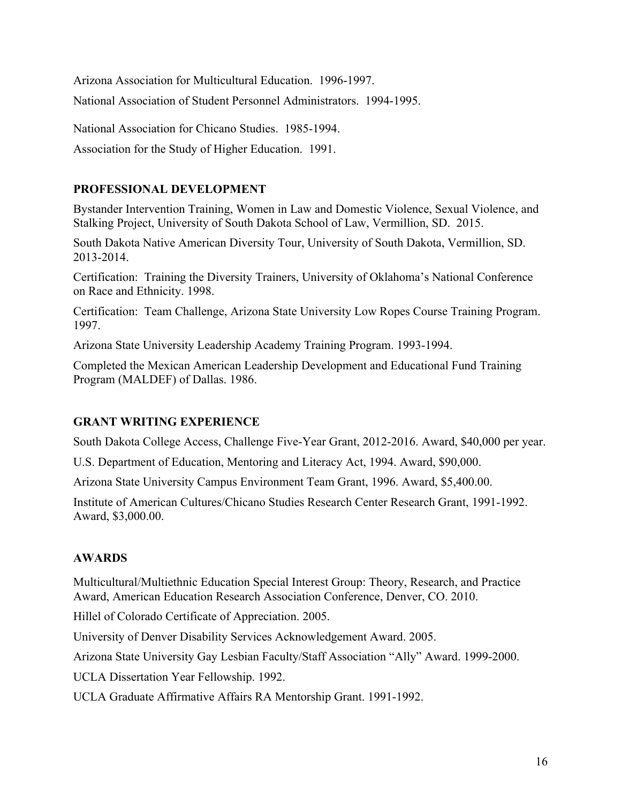Arizona Association for Multicultural Education. 1996-1997.

National Association of Student Personnel Administrators. 1994-1995.

National Association for Chicano Studies. 1985-1994.

Association for the Study of Higher Education. 1991.

## **PROFESSIONAL DEVELOPMENT**

Bystander Intervention Training, Women in Law and Domestic Violence, Sexual Violence, and Stalking Project, University of South Dakota School of Law, Vermillion, SD. 2015.

South Dakota Native American Diversity Tour, University of South Dakota, Vermillion, SD. 2013-2014.

Certification: Training the Diversity Trainers, University of Oklahoma's National Conference on Race and Ethnicity. 1998.

Certification: Team Challenge, Arizona State University Low Ropes Course Training Program. 1997.

Arizona State University Leadership Academy Training Program. 1993-1994.

Completed the Mexican American Leadership Development and Educational Fund Training Program (MALDEF) of Dallas. 1986.

## **GRANT WRITING EXPERIENCE**

South Dakota College Access, Challenge Five-Year Grant, 2012-2016. Award, \$40,000 per year.

U.S. Department of Education, Mentoring and Literacy Act, 1994. Award, \$90,000.

Arizona State University Campus Environment Team Grant, 1996. Award, \$5,400.00.

Institute of American Cultures/Chicano Studies Research Center Research Grant, 1991-1992. Award, \$3,000.00.

## **AWARDS**

Multicultural/Multiethnic Education Special Interest Group: Theory, Research, and Practice Award, American Education Research Association Conference, Denver, CO. 2010.

Hillel of Colorado Certificate of Appreciation. 2005.

University of Denver Disability Services Acknowledgement Award. 2005.

Arizona State University Gay Lesbian Faculty/Staff Association "Ally" Award. 1999-2000.

UCLA Dissertation Year Fellowship. 1992.

UCLA Graduate Affirmative Affairs RA Mentorship Grant. 1991-1992.